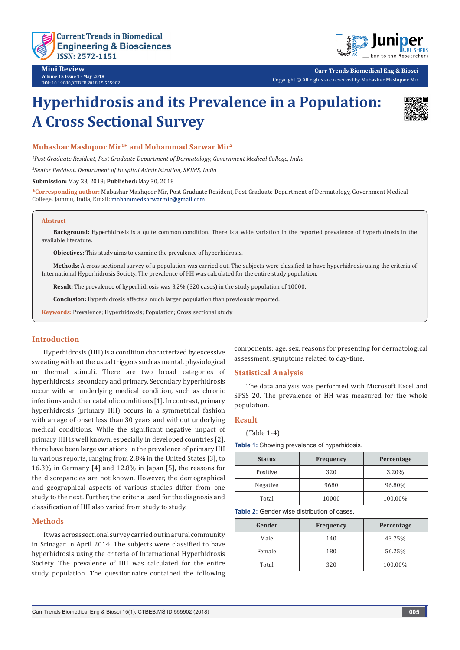

**Mini Review Volume 15 Issue 1 - May 2018 DOI:** [10.19080/CTBEB.2018.15.5559](http://dx.doi.org/10.19080/CTBEB.2018.15.555902)02

**Curr Trends Biomedical Eng & Biosci** Copyright © All rights are reserved by Mubashar Mashqoor Mir

# **Hyperhidrosis and its Prevalence in a Population: A Cross Sectional Survey**



## **Mubashar Mashqoor Mir1\* and Mohammad Sarwar Mir2**

*1 Post Graduate Resident, Post Graduate Department of Dermatology, Government Medical College, India*

*2 Senior Resident, Department of Hospital Administration, SKIMS, India*

**Submission:** May 23, 2018; **Published:** May 30, 2018

**\*Corresponding author:** Mubashar Mashqoor Mir, Post Graduate Resident, Post Graduate Department of Dermatology, Government Medical College, Jammu, India, Email:

#### **Abstract**

**Background:** Hyperhidrosis is a quite common condition. There is a wide variation in the reported prevalence of hyperhidrosis in the available literature.

**Objectives:** This study aims to examine the prevalence of hyperhidrosis.

**Methods:** A cross sectional survey of a population was carried out. The subjects were classified to have hyperhidrosis using the criteria of International Hyperhidrosis Society. The prevalence of HH was calculated for the entire study population.

**Result:** The prevalence of hyperhidrosis was 3.2% (320 cases) in the study population of 10000.

**Conclusion:** Hyperhidrosis affects a much larger population than previously reported.

**Keywords:** Prevalence; Hyperhidrosis; Population; Cross sectional study

## **Introduction**

Hyperhidrosis (HH) is a condition characterized by excessive sweating without the usual triggers such as mental, physiological or thermal stimuli. There are two broad categories of hyperhidrosis, secondary and primary. Secondary hyperhidrosis occur with an underlying medical condition, such as chronic infections and other catabolic conditions [1]. In contrast, primary hyperhidrosis (primary HH) occurs in a symmetrical fashion with an age of onset less than 30 years and without underlying medical conditions. While the significant negative impact of primary HH is well known, especially in developed countries [2], there have been large variations in the prevalence of primary HH in various reports, ranging from 2.8% in the United States [3], to 16.3% in Germany [4] and 12.8% in Japan [5], the reasons for the discrepancies are not known. However, the demographical and geographical aspects of various studies differ from one study to the next. Further, the criteria used for the diagnosis and classification of HH also varied from study to study.

#### **Methods**

It was a cross sectional survey carried out in a rural community in Srinagar in April 2014. The subjects were classified to have hyperhidrosis using the criteria of International Hyperhidrosis Society. The prevalence of HH was calculated for the entire study population. The questionnaire contained the following components: age, sex, reasons for presenting for dermatological assessment, symptoms related to day-time.

## **Statistical Analysis**

The data analysis was performed with Microsoft Excel and SPSS 20. The prevalence of HH was measured for the whole population.

## **Result**

(Table 1-4)

**Table 1:** Showing prevalence of hyperhidosis.

| <b>Status</b> | <b>Frequency</b> | Percentage |
|---------------|------------------|------------|
| Positive      | 320              | 3.20%      |
| Negative      | 9680             | 96.80%     |
| Total         | 10000            | 100.00%    |

**Table 2:** Gender wise distribution of cases.

| Gender | <b>Frequency</b> | Percentage |
|--------|------------------|------------|
| Male   | 140              | 43.75%     |
| Female | 180              | 56.25%     |
| Total  | 320              | 100.00%    |